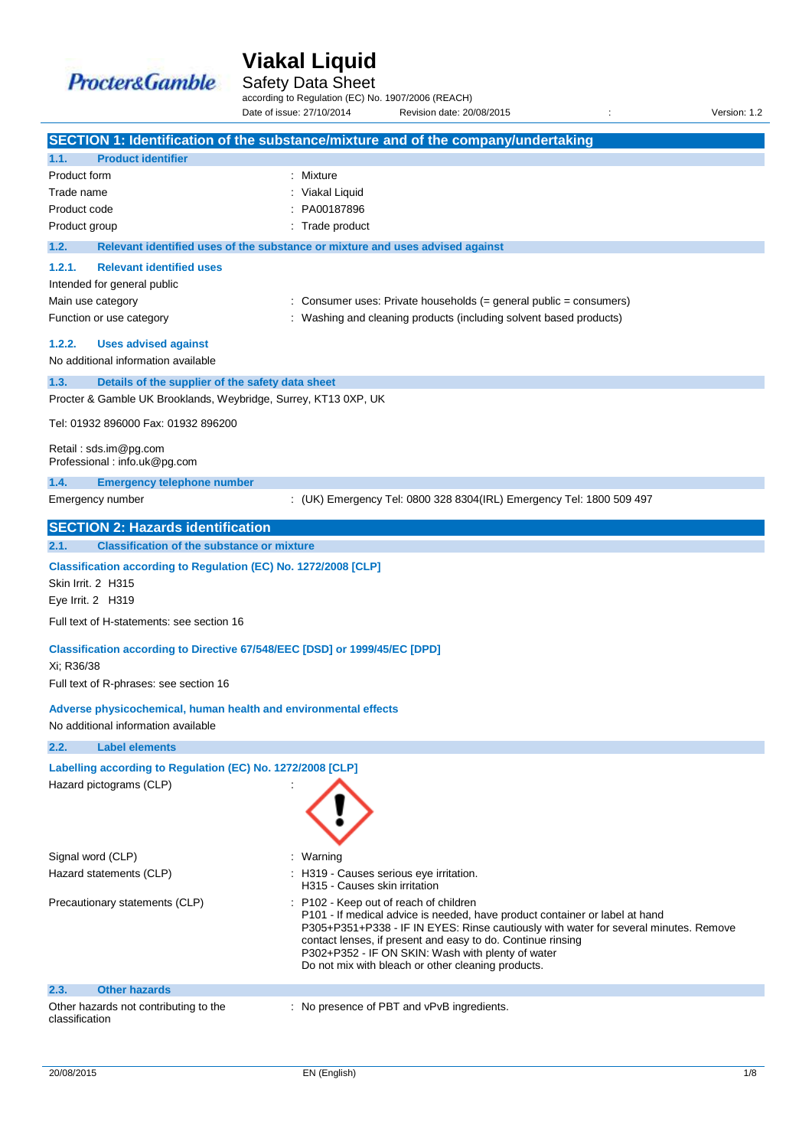

Safety Data Sheet

according to Regulation (EC) No. 1907/2006 (REACH) Date of issue: 27/10/2014 Revision date: 20/08/2015 <br>Version: 1.2

|                                                                                                        |                                                                            | SECTION 1: Identification of the substance/mixture and of the company/undertaking                                                                   |  |
|--------------------------------------------------------------------------------------------------------|----------------------------------------------------------------------------|-----------------------------------------------------------------------------------------------------------------------------------------------------|--|
| 1.1.                                                                                                   | <b>Product identifier</b>                                                  |                                                                                                                                                     |  |
| Product form                                                                                           |                                                                            | : Mixture                                                                                                                                           |  |
| Trade name                                                                                             |                                                                            | Viakal Liquid                                                                                                                                       |  |
| Product code                                                                                           |                                                                            | PA00187896                                                                                                                                          |  |
| Product group                                                                                          |                                                                            | Trade product                                                                                                                                       |  |
| 1.2.                                                                                                   |                                                                            | Relevant identified uses of the substance or mixture and uses advised against                                                                       |  |
| 1.2.1.                                                                                                 | <b>Relevant identified uses</b>                                            |                                                                                                                                                     |  |
|                                                                                                        | Intended for general public                                                |                                                                                                                                                     |  |
| Main use category                                                                                      |                                                                            | Consumer uses: Private households (= general public = consumers)                                                                                    |  |
|                                                                                                        | Function or use category                                                   | Washing and cleaning products (including solvent based products)                                                                                    |  |
| 1.2.2.                                                                                                 | <b>Uses advised against</b>                                                |                                                                                                                                                     |  |
|                                                                                                        | No additional information available                                        |                                                                                                                                                     |  |
| 1.3.                                                                                                   | Details of the supplier of the safety data sheet                           |                                                                                                                                                     |  |
|                                                                                                        | Procter & Gamble UK Brooklands, Weybridge, Surrey, KT13 0XP, UK            |                                                                                                                                                     |  |
|                                                                                                        | Tel: 01932 896000 Fax: 01932 896200                                        |                                                                                                                                                     |  |
|                                                                                                        | Retail: sds.im@pg.com                                                      |                                                                                                                                                     |  |
|                                                                                                        | Professional: info.uk@pg.com                                               |                                                                                                                                                     |  |
| 1.4.                                                                                                   | <b>Emergency telephone number</b>                                          |                                                                                                                                                     |  |
|                                                                                                        | Emergency number                                                           | : (UK) Emergency Tel: 0800 328 8304(IRL) Emergency Tel: 1800 509 497                                                                                |  |
|                                                                                                        | <b>SECTION 2: Hazards identification</b>                                   |                                                                                                                                                     |  |
| 2.1.                                                                                                   | <b>Classification of the substance or mixture</b>                          |                                                                                                                                                     |  |
|                                                                                                        | Classification according to Regulation (EC) No. 1272/2008 [CLP]            |                                                                                                                                                     |  |
| Skin Irrit. 2 H315                                                                                     |                                                                            |                                                                                                                                                     |  |
| Eye Irrit. 2 H319                                                                                      |                                                                            |                                                                                                                                                     |  |
|                                                                                                        | Full text of H-statements: see section 16                                  |                                                                                                                                                     |  |
|                                                                                                        | Classification according to Directive 67/548/EEC [DSD] or 1999/45/EC [DPD] |                                                                                                                                                     |  |
| Xi; R36/38                                                                                             |                                                                            |                                                                                                                                                     |  |
|                                                                                                        | Full text of R-phrases: see section 16                                     |                                                                                                                                                     |  |
|                                                                                                        |                                                                            |                                                                                                                                                     |  |
| Adverse physicochemical, human health and environmental effects<br>No additional information available |                                                                            |                                                                                                                                                     |  |
| 2.2.                                                                                                   | <b>Label elements</b>                                                      |                                                                                                                                                     |  |
|                                                                                                        |                                                                            |                                                                                                                                                     |  |
|                                                                                                        | Labelling according to Regulation (EC) No. 1272/2008 [CLP]                 |                                                                                                                                                     |  |
|                                                                                                        | Hazard pictograms (CLP)                                                    |                                                                                                                                                     |  |
|                                                                                                        |                                                                            |                                                                                                                                                     |  |
|                                                                                                        |                                                                            |                                                                                                                                                     |  |
| Signal word (CLP)                                                                                      | ÷                                                                          | Warning                                                                                                                                             |  |
|                                                                                                        | Hazard statements (CLP)                                                    | : H319 - Causes serious eye irritation.                                                                                                             |  |
|                                                                                                        |                                                                            | H315 - Causes skin irritation                                                                                                                       |  |
|                                                                                                        | Precautionary statements (CLP)                                             | : P102 - Keep out of reach of children                                                                                                              |  |
|                                                                                                        |                                                                            | P101 - If medical advice is needed, have product container or label at hand                                                                         |  |
|                                                                                                        |                                                                            | P305+P351+P338 - IF IN EYES: Rinse cautiously with water for several minutes. Remove<br>contact lenses, if present and easy to do. Continue rinsing |  |
|                                                                                                        |                                                                            | P302+P352 - IF ON SKIN: Wash with plenty of water                                                                                                   |  |
|                                                                                                        |                                                                            | Do not mix with bleach or other cleaning products.                                                                                                  |  |
| 2.3.                                                                                                   | <b>Other hazards</b>                                                       |                                                                                                                                                     |  |
|                                                                                                        | Other hazards not contributing to the                                      | : No presence of PBT and vPvB ingredients.                                                                                                          |  |
| classification                                                                                         |                                                                            |                                                                                                                                                     |  |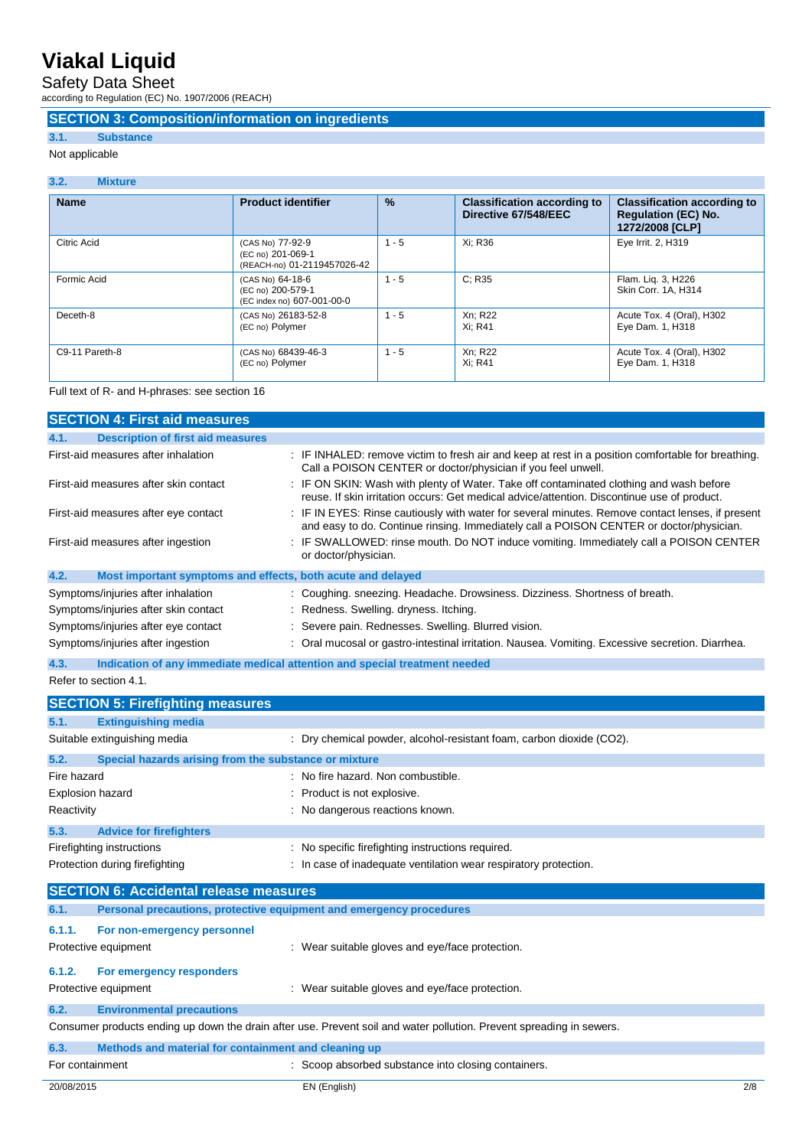Safety Data Sheet

according to Regulation (EC) No. 1907/2006 (REACH)

### **SECTION 3: Composition/information on ingredients**

## **3.1. Substance**

Not applicable

| 3.2.<br><b>Mixture</b> |                                                                      |         |                                                            |                                                                                     |
|------------------------|----------------------------------------------------------------------|---------|------------------------------------------------------------|-------------------------------------------------------------------------------------|
| <b>Name</b>            | <b>Product identifier</b>                                            | %       | <b>Classification according to</b><br>Directive 67/548/EEC | <b>Classification according to</b><br><b>Regulation (EC) No.</b><br>1272/2008 [CLP] |
| Citric Acid            | (CAS No) 77-92-9<br>(EC no) 201-069-1<br>(REACH-no) 01-2119457026-42 | $1 - 5$ | Xi: R36                                                    | Eye Irrit. 2, H319                                                                  |
| Formic Acid            | (CAS No) 64-18-6<br>(EC no) 200-579-1<br>(EC index no) 607-001-00-0  | $1 - 5$ | C: R35                                                     | Flam. Lig. 3, H226<br>Skin Corr. 1A, H314                                           |
| Deceth-8               | (CAS No) 26183-52-8<br>(EC no) Polymer                               | $1 - 5$ | Xn; R22<br>Xi: R41                                         | Acute Tox. 4 (Oral), H302<br>Eye Dam. 1, H318                                       |
| C9-11 Pareth-8         | (CAS No) 68439-46-3<br>(EC no) Polymer                               | $1 - 5$ | Xn; R22<br>Xi: R41                                         | Acute Tox. 4 (Oral), H302<br>Eye Dam. 1, H318                                       |

### Full text of R- and H-phrases: see section 16

| <b>SECTION 4: First aid measures</b>                                                                                 |                                                                                                                                                                                           |  |  |
|----------------------------------------------------------------------------------------------------------------------|-------------------------------------------------------------------------------------------------------------------------------------------------------------------------------------------|--|--|
| 4.1.<br><b>Description of first aid measures</b>                                                                     |                                                                                                                                                                                           |  |  |
| First-aid measures after inhalation                                                                                  | : IF INHALED: remove victim to fresh air and keep at rest in a position comfortable for breathing.<br>Call a POISON CENTER or doctor/physician if you feel unwell.                        |  |  |
| First-aid measures after skin contact                                                                                | : IF ON SKIN: Wash with plenty of Water. Take off contaminated clothing and wash before<br>reuse. If skin irritation occurs: Get medical advice/attention. Discontinue use of product.    |  |  |
| First-aid measures after eye contact                                                                                 | IF IN EYES: Rinse cautiously with water for several minutes. Remove contact lenses, if present<br>and easy to do. Continue rinsing. Immediately call a POISON CENTER or doctor/physician. |  |  |
| First-aid measures after ingestion                                                                                   | IF SWALLOWED: rinse mouth. Do NOT induce vomiting. Immediately call a POISON CENTER<br>or doctor/physician.                                                                               |  |  |
| 4.2.<br>Most important symptoms and effects, both acute and delayed                                                  |                                                                                                                                                                                           |  |  |
| Symptoms/injuries after inhalation                                                                                   | Coughing. sneezing. Headache. Drowsiness. Dizziness. Shortness of breath.                                                                                                                 |  |  |
| Symptoms/injuries after skin contact                                                                                 | : Redness. Swelling. dryness. Itching.                                                                                                                                                    |  |  |
| Symptoms/injuries after eye contact                                                                                  | Severe pain. Rednesses. Swelling. Blurred vision.                                                                                                                                         |  |  |
| Symptoms/injuries after ingestion                                                                                    | Oral mucosal or gastro-intestinal irritation. Nausea. Vomiting. Excessive secretion. Diarrhea.                                                                                            |  |  |
| 4.3.                                                                                                                 | Indication of any immediate medical attention and special treatment needed                                                                                                                |  |  |
| Refer to section 4.1.                                                                                                |                                                                                                                                                                                           |  |  |
| <b>SECTION 5: Firefighting measures</b>                                                                              |                                                                                                                                                                                           |  |  |
| 5.1.<br><b>Extinguishing media</b>                                                                                   |                                                                                                                                                                                           |  |  |
| Suitable extinguishing media                                                                                         | : Dry chemical powder, alcohol-resistant foam, carbon dioxide (CO2).                                                                                                                      |  |  |
| 5.2.<br>Special hazards arising from the substance or mixture                                                        |                                                                                                                                                                                           |  |  |
| Fire hazard                                                                                                          | : No fire hazard. Non combustible.                                                                                                                                                        |  |  |
| <b>Explosion hazard</b>                                                                                              | Product is not explosive.                                                                                                                                                                 |  |  |
| Reactivity                                                                                                           | : No dangerous reactions known.                                                                                                                                                           |  |  |
|                                                                                                                      |                                                                                                                                                                                           |  |  |
| 5.3.<br><b>Advice for firefighters</b>                                                                               |                                                                                                                                                                                           |  |  |
| Firefighting instructions                                                                                            | No specific firefighting instructions required.                                                                                                                                           |  |  |
| Protection during firefighting                                                                                       | : In case of inadequate ventilation wear respiratory protection.                                                                                                                          |  |  |
| <b>SECTION 6: Accidental release measures</b>                                                                        |                                                                                                                                                                                           |  |  |
| 6.1.<br>Personal precautions, protective equipment and emergency procedures                                          |                                                                                                                                                                                           |  |  |
| 6.1.1.<br>For non-emergency personnel                                                                                |                                                                                                                                                                                           |  |  |
| Protective equipment                                                                                                 | : Wear suitable gloves and eye/face protection.                                                                                                                                           |  |  |
|                                                                                                                      |                                                                                                                                                                                           |  |  |
| 6.1.2.<br>For emergency responders                                                                                   |                                                                                                                                                                                           |  |  |
| Protective equipment                                                                                                 | : Wear suitable gloves and eye/face protection.                                                                                                                                           |  |  |
| 6.2.<br><b>Environmental precautions</b>                                                                             |                                                                                                                                                                                           |  |  |
| Consumer products ending up down the drain after use. Prevent soil and water pollution. Prevent spreading in sewers. |                                                                                                                                                                                           |  |  |
| 6.3.<br>Methods and material for containment and cleaning up                                                         |                                                                                                                                                                                           |  |  |
| For containment                                                                                                      | : Scoop absorbed substance into closing containers.                                                                                                                                       |  |  |
| 20/08/2015                                                                                                           | 2/8<br>EN (English)                                                                                                                                                                       |  |  |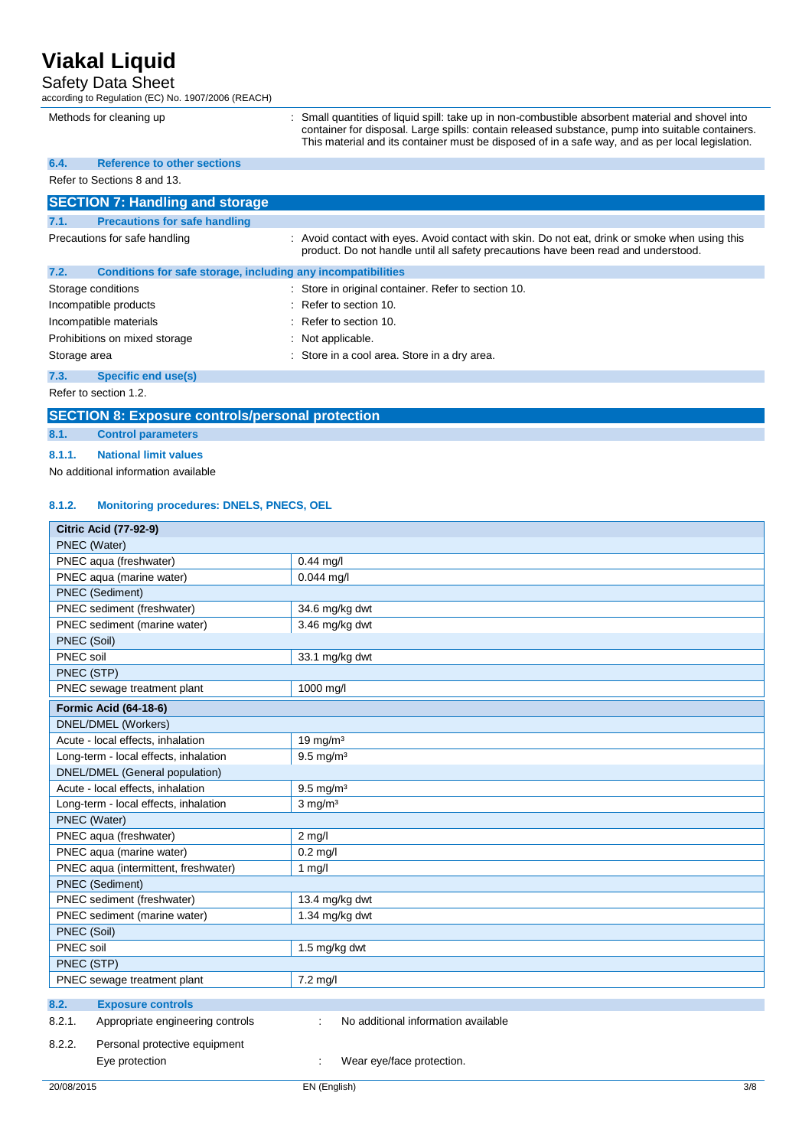### Safety Data Sheet

| according to Regulation (EC) No. 1907/2006 (REACH)                   |                                                                                                                                                                                                                                                                                                           |  |  |
|----------------------------------------------------------------------|-----------------------------------------------------------------------------------------------------------------------------------------------------------------------------------------------------------------------------------------------------------------------------------------------------------|--|--|
| Methods for cleaning up                                              | : Small quantities of liquid spill: take up in non-combustible absorbent material and shovel into<br>container for disposal. Large spills: contain released substance, pump into suitable containers.<br>This material and its container must be disposed of in a safe way, and as per local legislation. |  |  |
| <b>Reference to other sections</b><br>6.4.                           |                                                                                                                                                                                                                                                                                                           |  |  |
| Refer to Sections 8 and 13.                                          |                                                                                                                                                                                                                                                                                                           |  |  |
| <b>SECTION 7: Handling and storage</b>                               |                                                                                                                                                                                                                                                                                                           |  |  |
| <b>Precautions for safe handling</b><br>7.1.                         |                                                                                                                                                                                                                                                                                                           |  |  |
| Precautions for safe handling                                        | : Avoid contact with eyes. Avoid contact with skin. Do not eat, drink or smoke when using this<br>product. Do not handle until all safety precautions have been read and understood.                                                                                                                      |  |  |
| 7.2.<br>Conditions for safe storage, including any incompatibilities |                                                                                                                                                                                                                                                                                                           |  |  |
| Storage conditions                                                   | : Store in original container. Refer to section 10.                                                                                                                                                                                                                                                       |  |  |
| Incompatible products                                                | $\therefore$ Refer to section 10.                                                                                                                                                                                                                                                                         |  |  |
| Incompatible materials                                               | $\therefore$ Refer to section 10.                                                                                                                                                                                                                                                                         |  |  |
| Prohibitions on mixed storage                                        | Not applicable.                                                                                                                                                                                                                                                                                           |  |  |
| Storage area                                                         | : Store in a cool area. Store in a dry area.                                                                                                                                                                                                                                                              |  |  |
| Specific end use(s)<br>7.3.                                          |                                                                                                                                                                                                                                                                                                           |  |  |
|                                                                      |                                                                                                                                                                                                                                                                                                           |  |  |

Refer to section 1.2.

### **SECTION 8: Exposure controls/personal protection**

**8.1. Control parameters**

#### **8.1.1. National limit values**

No additional information available

#### **8.1.2. Monitoring procedures: DNELS, PNECS, OEL**

| <b>Citric Acid (77-92-9)</b>               |                                          |  |  |
|--------------------------------------------|------------------------------------------|--|--|
| PNEC (Water)                               |                                          |  |  |
| PNEC aqua (freshwater)                     | $0.44$ mg/l                              |  |  |
| PNEC aqua (marine water)                   | $0.044$ mg/l                             |  |  |
| PNEC (Sediment)                            |                                          |  |  |
| PNEC sediment (freshwater)                 | 34.6 mg/kg dwt                           |  |  |
| PNEC sediment (marine water)               | 3.46 mg/kg dwt                           |  |  |
| PNEC (Soil)                                |                                          |  |  |
| PNEC soil                                  | 33.1 mg/kg dwt                           |  |  |
| PNEC (STP)                                 |                                          |  |  |
| PNEC sewage treatment plant                | 1000 mg/l                                |  |  |
| <b>Formic Acid (64-18-6)</b>               |                                          |  |  |
| DNEL/DMEL (Workers)                        |                                          |  |  |
| Acute - local effects, inhalation          | $19$ mg/m <sup>3</sup>                   |  |  |
| Long-term - local effects, inhalation      | $9.5 \text{ mg/m}^3$                     |  |  |
| DNEL/DMEL (General population)             |                                          |  |  |
| Acute - local effects, inhalation          | $9.5$ mg/m <sup>3</sup>                  |  |  |
| Long-term - local effects, inhalation      | $3$ mg/m $3$                             |  |  |
| PNEC (Water)                               |                                          |  |  |
| PNEC aqua (freshwater)                     | $2$ mg/l                                 |  |  |
| PNEC aqua (marine water)                   | $0.2$ mg/l                               |  |  |
| PNEC aqua (intermittent, freshwater)       | $1$ mg/l                                 |  |  |
| PNEC (Sediment)                            |                                          |  |  |
| PNEC sediment (freshwater)                 | 13.4 mg/kg dwt                           |  |  |
| PNEC sediment (marine water)               | 1.34 mg/kg dwt                           |  |  |
| PNEC (Soil)                                |                                          |  |  |
| PNEC soil                                  | 1.5 mg/kg dwt                            |  |  |
| PNEC (STP)                                 |                                          |  |  |
| PNEC sewage treatment plant                | 7.2 mg/l                                 |  |  |
| 8.2.<br><b>Exposure controls</b>           |                                          |  |  |
| Appropriate engineering controls<br>8.2.1. | No additional information available<br>÷ |  |  |
| Personal protective equipment<br>8.2.2.    |                                          |  |  |
| Eye protection                             | Wear eye/face protection.                |  |  |
|                                            |                                          |  |  |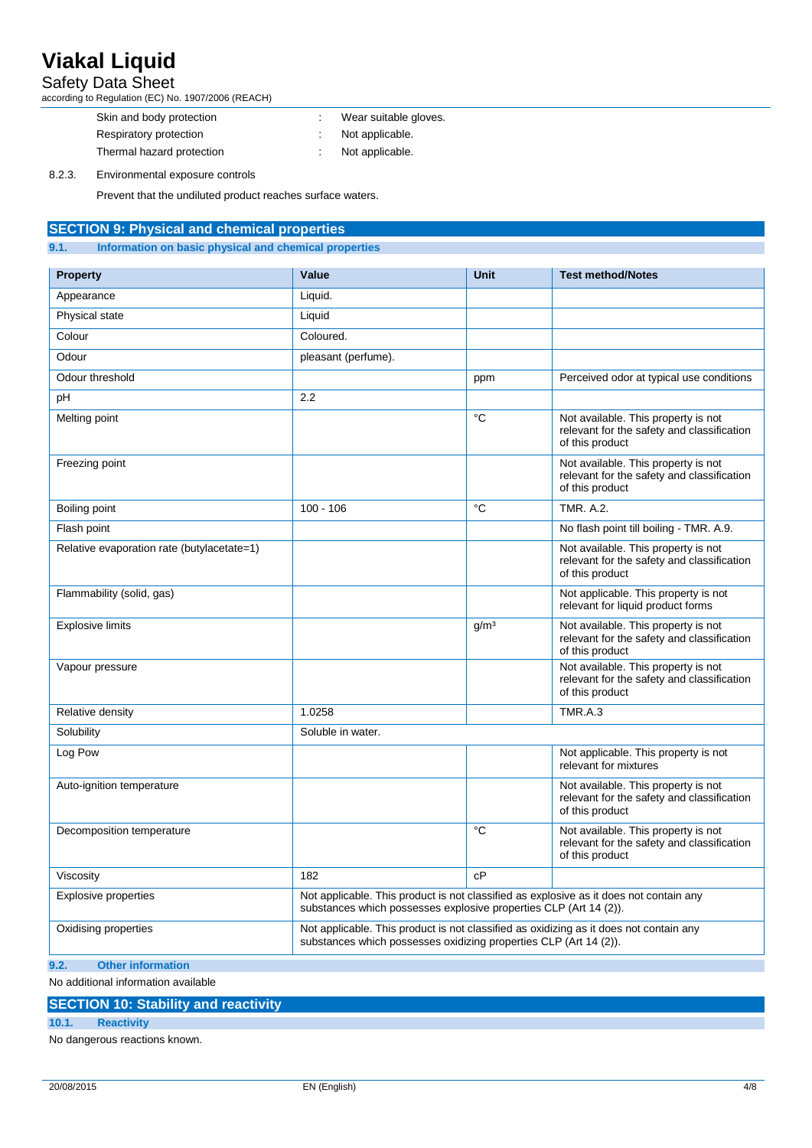### Safety Data Sheet

according to Regulation (EC) No. 1907/2006 (REACH)

| Skin and body protection  | Wear suitable gloves. |
|---------------------------|-----------------------|
| Respiratory protection    | Not applicable.       |
| Thermal hazard protection | Not applicable.       |

8.2.3. Environmental exposure controls

Prevent that the undiluted product reaches surface waters.

### **SECTION 9: Physical and chemical properties**

#### **9.1. Information on basic physical and chemical properties**

| <b>Property</b>                            | Value                                                                                                                                                       | <b>Unit</b>      | <b>Test method/Notes</b>                                                                             |
|--------------------------------------------|-------------------------------------------------------------------------------------------------------------------------------------------------------------|------------------|------------------------------------------------------------------------------------------------------|
| Appearance                                 | Liquid.                                                                                                                                                     |                  |                                                                                                      |
| Physical state                             | Liquid                                                                                                                                                      |                  |                                                                                                      |
| Colour                                     | Coloured.                                                                                                                                                   |                  |                                                                                                      |
| Odour                                      | pleasant (perfume).                                                                                                                                         |                  |                                                                                                      |
| Odour threshold                            |                                                                                                                                                             | ppm              | Perceived odor at typical use conditions                                                             |
| pH                                         | 2.2                                                                                                                                                         |                  |                                                                                                      |
| Melting point                              |                                                                                                                                                             | °C               | Not available. This property is not<br>relevant for the safety and classification<br>of this product |
| Freezing point                             |                                                                                                                                                             |                  | Not available. This property is not<br>relevant for the safety and classification<br>of this product |
| Boiling point                              | $100 - 106$                                                                                                                                                 | °C               | <b>TMR. A.2.</b>                                                                                     |
| Flash point                                |                                                                                                                                                             |                  | No flash point till boiling - TMR. A.9.                                                              |
| Relative evaporation rate (butylacetate=1) |                                                                                                                                                             |                  | Not available. This property is not<br>relevant for the safety and classification<br>of this product |
| Flammability (solid, gas)                  |                                                                                                                                                             |                  | Not applicable. This property is not<br>relevant for liquid product forms                            |
| <b>Explosive limits</b>                    |                                                                                                                                                             | g/m <sup>3</sup> | Not available. This property is not<br>relevant for the safety and classification<br>of this product |
| Vapour pressure                            |                                                                                                                                                             |                  | Not available. This property is not<br>relevant for the safety and classification<br>of this product |
| Relative density                           | 1.0258                                                                                                                                                      |                  | TMR.A.3                                                                                              |
| Solubility                                 | Soluble in water.                                                                                                                                           |                  |                                                                                                      |
| Log Pow                                    |                                                                                                                                                             |                  | Not applicable. This property is not<br>relevant for mixtures                                        |
| Auto-ignition temperature                  |                                                                                                                                                             |                  | Not available. This property is not<br>relevant for the safety and classification<br>of this product |
| Decomposition temperature                  |                                                                                                                                                             | °C               | Not available. This property is not<br>relevant for the safety and classification<br>of this product |
| Viscosity                                  | 182                                                                                                                                                         | cP               |                                                                                                      |
| <b>Explosive properties</b>                | Not applicable. This product is not classified as explosive as it does not contain any<br>substances which possesses explosive properties CLP (Art 14 (2)). |                  |                                                                                                      |
| Oxidising properties                       | Not applicable. This product is not classified as oxidizing as it does not contain any<br>substances which possesses oxidizing properties CLP (Art 14 (2)). |                  |                                                                                                      |
| <b>Other information</b><br>9.2.           |                                                                                                                                                             |                  |                                                                                                      |

No additional information available

### **SECTION 10: Stability and reactivity**

#### **10.1. Reactivity**

No dangerous reactions known.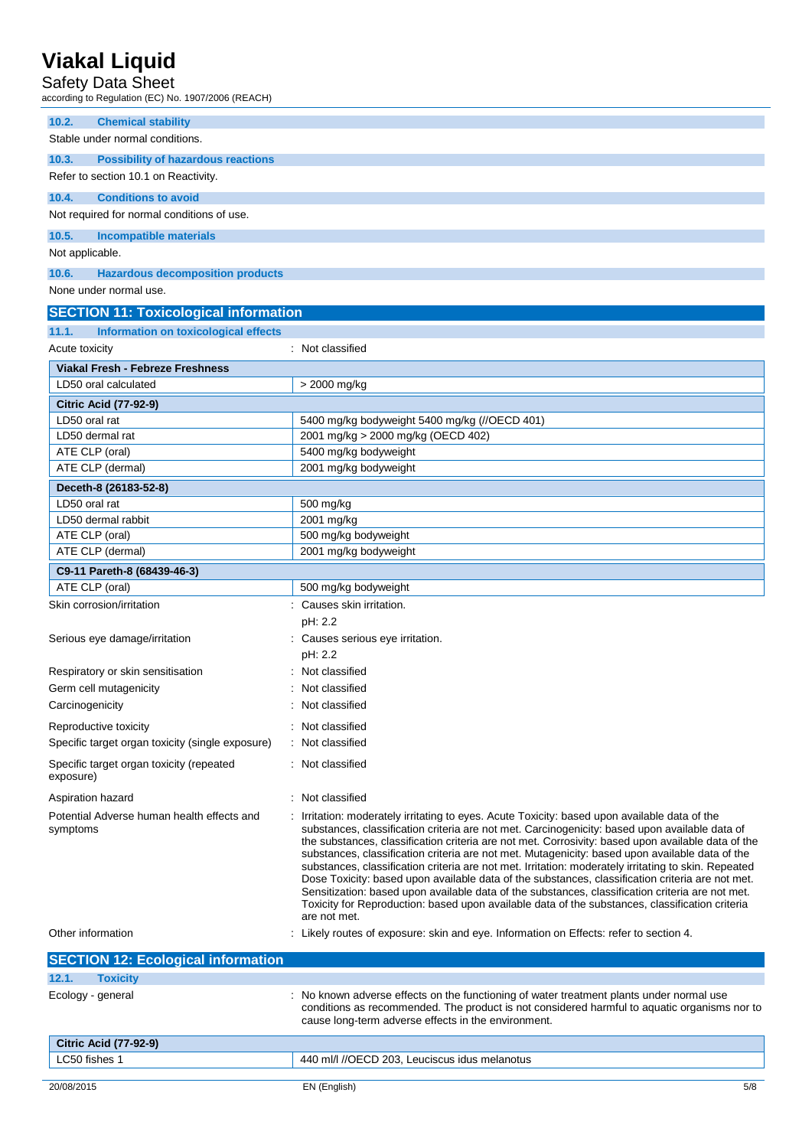Safety Data Sheet

according to Regulation (EC) No. 1907/2006 (REACH)

| <b>Chemical stability</b><br>10.2.<br>Stable under normal conditions. |                                                                                                                                                                                                         |  |  |
|-----------------------------------------------------------------------|---------------------------------------------------------------------------------------------------------------------------------------------------------------------------------------------------------|--|--|
|                                                                       |                                                                                                                                                                                                         |  |  |
| 10.3.<br><b>Possibility of hazardous reactions</b>                    |                                                                                                                                                                                                         |  |  |
| Refer to section 10.1 on Reactivity.                                  |                                                                                                                                                                                                         |  |  |
| <b>Conditions to avoid</b><br>10.4.                                   |                                                                                                                                                                                                         |  |  |
| Not required for normal conditions of use.                            |                                                                                                                                                                                                         |  |  |
| 10.5.<br><b>Incompatible materials</b>                                |                                                                                                                                                                                                         |  |  |
| Not applicable.                                                       |                                                                                                                                                                                                         |  |  |
| 10.6.<br><b>Hazardous decomposition products</b>                      |                                                                                                                                                                                                         |  |  |
| None under normal use.                                                |                                                                                                                                                                                                         |  |  |
|                                                                       |                                                                                                                                                                                                         |  |  |
| <b>SECTION 11: Toxicological information</b>                          |                                                                                                                                                                                                         |  |  |
| Information on toxicological effects<br>11.1.                         |                                                                                                                                                                                                         |  |  |
| Acute toxicity                                                        | : Not classified                                                                                                                                                                                        |  |  |
| Viakal Fresh - Febreze Freshness                                      |                                                                                                                                                                                                         |  |  |
| LD50 oral calculated                                                  | > 2000 mg/kg                                                                                                                                                                                            |  |  |
| <b>Citric Acid (77-92-9)</b>                                          |                                                                                                                                                                                                         |  |  |
| LD50 oral rat                                                         | 5400 mg/kg bodyweight 5400 mg/kg (//OECD 401)                                                                                                                                                           |  |  |
| LD50 dermal rat                                                       | 2001 mg/kg > 2000 mg/kg (OECD 402)                                                                                                                                                                      |  |  |
| ATE CLP (oral)                                                        | 5400 mg/kg bodyweight                                                                                                                                                                                   |  |  |
| ATE CLP (dermal)                                                      | 2001 mg/kg bodyweight                                                                                                                                                                                   |  |  |
| Deceth-8 (26183-52-8)                                                 |                                                                                                                                                                                                         |  |  |
| LD50 oral rat                                                         | 500 mg/kg                                                                                                                                                                                               |  |  |
| LD50 dermal rabbit                                                    | 2001 mg/kg                                                                                                                                                                                              |  |  |
| ATE CLP (oral)                                                        | 500 mg/kg bodyweight                                                                                                                                                                                    |  |  |
| ATE CLP (dermal)                                                      | 2001 mg/kg bodyweight                                                                                                                                                                                   |  |  |
| C9-11 Pareth-8 (68439-46-3)                                           |                                                                                                                                                                                                         |  |  |
| ATE CLP (oral)                                                        | 500 mg/kg bodyweight                                                                                                                                                                                    |  |  |
| Skin corrosion/irritation                                             | : Causes skin irritation.                                                                                                                                                                               |  |  |
|                                                                       | pH: 2.2                                                                                                                                                                                                 |  |  |
| Serious eye damage/irritation                                         | : Causes serious eye irritation.                                                                                                                                                                        |  |  |
|                                                                       | pH: 2.2                                                                                                                                                                                                 |  |  |
| Respiratory or skin sensitisation                                     | Not classified                                                                                                                                                                                          |  |  |
| Germ cell mutagenicity                                                | Not classified                                                                                                                                                                                          |  |  |
| Carcinogenicity                                                       | Not classified                                                                                                                                                                                          |  |  |
| Reproductive toxicity                                                 | Not classified                                                                                                                                                                                          |  |  |
| Specific target organ toxicity (single exposure)                      | Not classified                                                                                                                                                                                          |  |  |
| Specific target organ toxicity (repeated                              | Not classified                                                                                                                                                                                          |  |  |
| exposure)                                                             |                                                                                                                                                                                                         |  |  |
| Aspiration hazard                                                     | Not classified                                                                                                                                                                                          |  |  |
| Potential Adverse human health effects and                            | Irritation: moderately irritating to eyes. Acute Toxicity: based upon available data of the                                                                                                             |  |  |
| symptoms                                                              | substances, classification criteria are not met. Carcinogenicity: based upon available data of                                                                                                          |  |  |
|                                                                       | the substances, classification criteria are not met. Corrosivity: based upon available data of the                                                                                                      |  |  |
|                                                                       | substances, classification criteria are not met. Mutagenicity: based upon available data of the<br>substances, classification criteria are not met. Irritation: moderately irritating to skin. Repeated |  |  |
|                                                                       | Dose Toxicity: based upon available data of the substances, classification criteria are not met.                                                                                                        |  |  |
|                                                                       | Sensitization: based upon available data of the substances, classification criteria are not met.                                                                                                        |  |  |
|                                                                       | Toxicity for Reproduction: based upon available data of the substances, classification criteria                                                                                                         |  |  |
|                                                                       | are not met.                                                                                                                                                                                            |  |  |
| Other information                                                     | Likely routes of exposure: skin and eye. Information on Effects: refer to section 4.                                                                                                                    |  |  |
| <b>SECTION 12: Ecological information</b>                             |                                                                                                                                                                                                         |  |  |
| 12.1.<br><b>Toxicity</b>                                              |                                                                                                                                                                                                         |  |  |
| Ecology - general                                                     | No known adverse effects on the functioning of water treatment plants under normal use                                                                                                                  |  |  |
|                                                                       | conditions as recommended. The product is not considered harmful to aquatic organisms nor to                                                                                                            |  |  |
|                                                                       | cause long-term adverse effects in the environment.                                                                                                                                                     |  |  |
| <b>Citric Acid (77-92-9)</b>                                          |                                                                                                                                                                                                         |  |  |
| LC50 fishes 1                                                         | 440 ml/l //OECD 203, Leuciscus idus melanotus                                                                                                                                                           |  |  |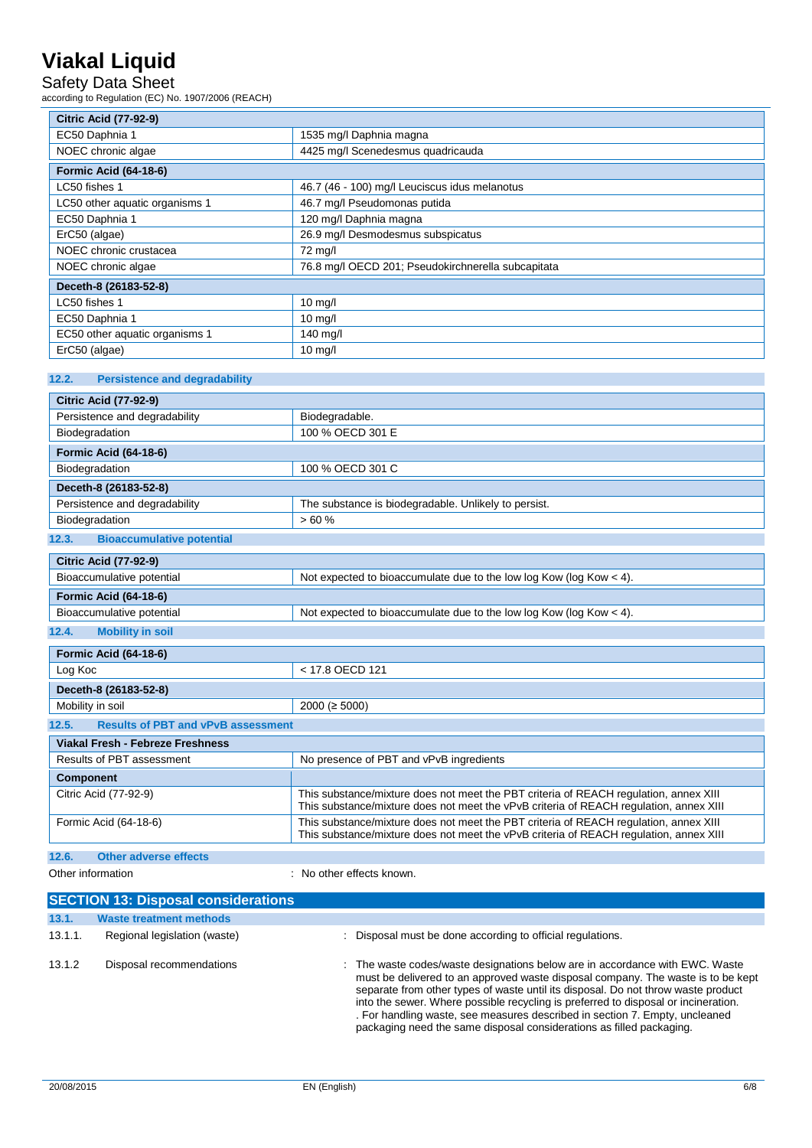## Safety Data Sheet

according to Regulation (EC) No. 1907/2006 (REACH)

| <b>Citric Acid (77-92-9)</b>              |                                                    |  |
|-------------------------------------------|----------------------------------------------------|--|
| EC50 Daphnia 1<br>1535 mg/l Daphnia magna |                                                    |  |
| NOEC chronic algae                        | 4425 mg/l Scenedesmus quadricauda                  |  |
| <b>Formic Acid (64-18-6)</b>              |                                                    |  |
| LC50 fishes 1                             | 46.7 (46 - 100) mg/l Leuciscus idus melanotus      |  |
| LC50 other aquatic organisms 1            | 46.7 mg/l Pseudomonas putida                       |  |
| EC50 Daphnia 1                            | 120 mg/l Daphnia magna                             |  |
| ErC50 (algae)                             | 26.9 mg/l Desmodesmus subspicatus                  |  |
| NOEC chronic crustacea                    | 72 mg/l                                            |  |
| NOEC chronic algae                        | 76.8 mg/l OECD 201; Pseudokirchnerella subcapitata |  |
| Deceth-8 (26183-52-8)                     |                                                    |  |
| LC50 fishes 1                             | $10$ mg/l                                          |  |
| EC50 Daphnia 1                            | $10$ mg/l                                          |  |
| EC50 other aquatic organisms 1            | 140 mg/l                                           |  |
| ErC50 (algae)                             | $10 \text{ mg/l}$                                  |  |

### **12.2. Persistence and degradability**

| <b>Citric Acid (77-92-9)</b>                       |                                                                                                                                                                                 |  |  |
|----------------------------------------------------|---------------------------------------------------------------------------------------------------------------------------------------------------------------------------------|--|--|
| Persistence and degradability                      | Biodegradable.                                                                                                                                                                  |  |  |
| Biodegradation                                     | 100 % OECD 301 E                                                                                                                                                                |  |  |
| <b>Formic Acid (64-18-6)</b>                       |                                                                                                                                                                                 |  |  |
| Biodegradation                                     | 100 % OECD 301 C                                                                                                                                                                |  |  |
| Deceth-8 (26183-52-8)                              |                                                                                                                                                                                 |  |  |
| Persistence and degradability                      | The substance is biodegradable. Unlikely to persist.                                                                                                                            |  |  |
| Biodegradation                                     | >60%                                                                                                                                                                            |  |  |
| <b>Bioaccumulative potential</b><br>12.3.          |                                                                                                                                                                                 |  |  |
| <b>Citric Acid (77-92-9)</b>                       |                                                                                                                                                                                 |  |  |
| Bioaccumulative potential                          | Not expected to bioaccumulate due to the low log Kow (log Kow < 4).                                                                                                             |  |  |
| <b>Formic Acid (64-18-6)</b>                       |                                                                                                                                                                                 |  |  |
| Bioaccumulative potential                          | Not expected to bioaccumulate due to the low log Kow (log Kow $<$ 4).                                                                                                           |  |  |
| 12.4.<br><b>Mobility in soil</b>                   |                                                                                                                                                                                 |  |  |
| <b>Formic Acid (64-18-6)</b>                       |                                                                                                                                                                                 |  |  |
| Log Koc                                            | < 17.8 OECD 121                                                                                                                                                                 |  |  |
| Deceth-8 (26183-52-8)                              |                                                                                                                                                                                 |  |  |
| Mobility in soil                                   | $2000 (= 5000)$                                                                                                                                                                 |  |  |
| <b>Results of PBT and vPvB assessment</b><br>12.5. |                                                                                                                                                                                 |  |  |
| Viakal Fresh - Febreze Freshness                   |                                                                                                                                                                                 |  |  |
| Results of PBT assessment                          | No presence of PBT and vPvB ingredients                                                                                                                                         |  |  |
| <b>Component</b>                                   |                                                                                                                                                                                 |  |  |
| Citric Acid (77-92-9)                              | This substance/mixture does not meet the PBT criteria of REACH requlation, annex XIII<br>This substance/mixture does not meet the vPvB criteria of REACH regulation, annex XIII |  |  |
| Formic Acid (64-18-6)                              | This substance/mixture does not meet the PBT criteria of REACH regulation, annex XIII<br>This substance/mixture does not meet the vPvB criteria of REACH regulation, annex XIII |  |  |
| 12.6.<br><b>Other adverse effects</b>              |                                                                                                                                                                                 |  |  |

Other information  $\qquad \qquad$ : No other effects known.

|         | <b>SECTION 13: Disposal considerations</b> |                                                                                                                                                                                                                                                                                                                                                                                                                                                                                                    |
|---------|--------------------------------------------|----------------------------------------------------------------------------------------------------------------------------------------------------------------------------------------------------------------------------------------------------------------------------------------------------------------------------------------------------------------------------------------------------------------------------------------------------------------------------------------------------|
| 13.1.   | <b>Waste treatment methods</b>             |                                                                                                                                                                                                                                                                                                                                                                                                                                                                                                    |
| 13.1.1. | Regional legislation (waste)               | : Disposal must be done according to official regulations.                                                                                                                                                                                                                                                                                                                                                                                                                                         |
| 13.1.2  | Disposal recommendations                   | : The waste codes/waste designations below are in accordance with EWC. Waste<br>must be delivered to an approved waste disposal company. The waste is to be kept<br>separate from other types of waste until its disposal. Do not throw waste product<br>into the sewer. Where possible recycling is preferred to disposal or incineration.<br>. For handling waste, see measures described in section 7. Empty, uncleaned<br>packaging need the same disposal considerations as filled packaging. |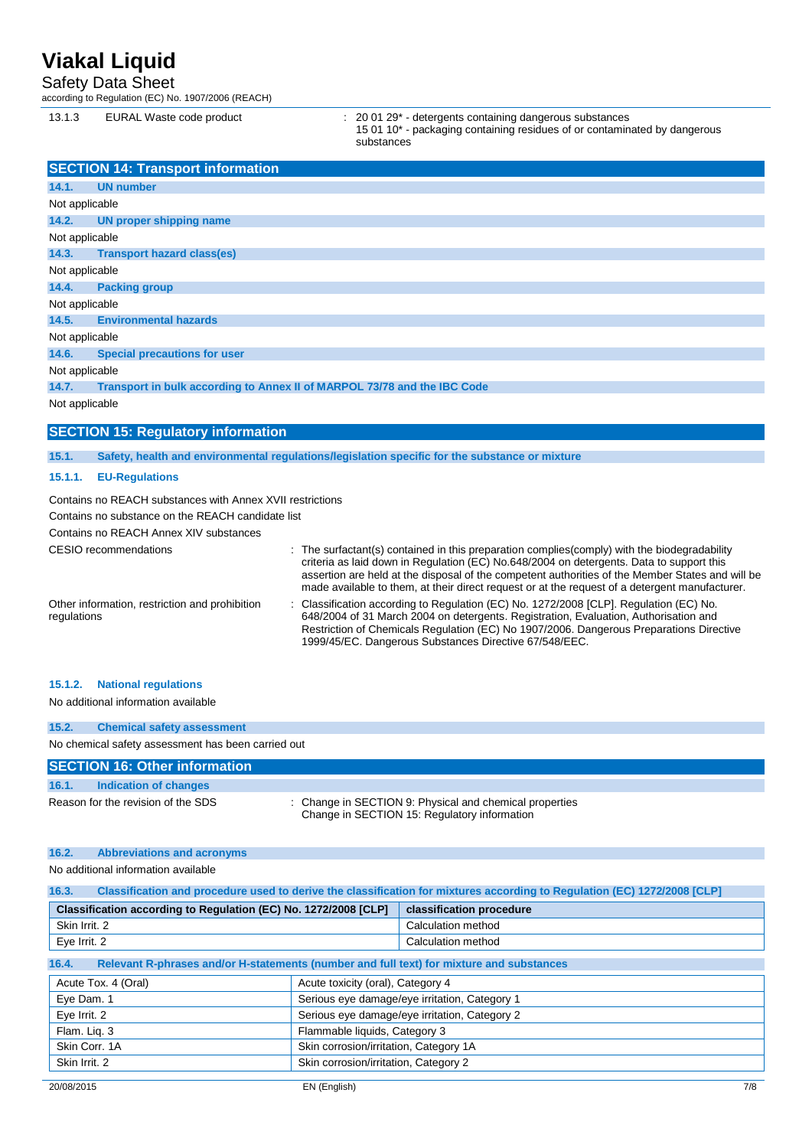### Safety Data Sheet

according to Regulation (EC) No. 1907/2006 (REACH)

13.1.3 EURAL Waste code product : 20 01 29\* - detergents containing dangerous substances

15 01 10\* - packaging containing residues of or contaminated by dangerous substances

|                | <b>SECTION 14: Transport information</b>                  |                                                                                                                                                                                                                                                                                                                                                                                               |
|----------------|-----------------------------------------------------------|-----------------------------------------------------------------------------------------------------------------------------------------------------------------------------------------------------------------------------------------------------------------------------------------------------------------------------------------------------------------------------------------------|
| 14.1.          | <b>UN number</b>                                          |                                                                                                                                                                                                                                                                                                                                                                                               |
| Not applicable |                                                           |                                                                                                                                                                                                                                                                                                                                                                                               |
| 14.2.          | <b>UN proper shipping name</b>                            |                                                                                                                                                                                                                                                                                                                                                                                               |
| Not applicable |                                                           |                                                                                                                                                                                                                                                                                                                                                                                               |
| 14.3.          | <b>Transport hazard class(es)</b>                         |                                                                                                                                                                                                                                                                                                                                                                                               |
| Not applicable |                                                           |                                                                                                                                                                                                                                                                                                                                                                                               |
| 14.4.          | <b>Packing group</b>                                      |                                                                                                                                                                                                                                                                                                                                                                                               |
| Not applicable |                                                           |                                                                                                                                                                                                                                                                                                                                                                                               |
| 14.5.          | <b>Environmental hazards</b>                              |                                                                                                                                                                                                                                                                                                                                                                                               |
| Not applicable |                                                           |                                                                                                                                                                                                                                                                                                                                                                                               |
| 14.6.          | <b>Special precautions for user</b>                       |                                                                                                                                                                                                                                                                                                                                                                                               |
| Not applicable |                                                           |                                                                                                                                                                                                                                                                                                                                                                                               |
| 14.7.          |                                                           | Transport in bulk according to Annex II of MARPOL 73/78 and the IBC Code                                                                                                                                                                                                                                                                                                                      |
| Not applicable |                                                           |                                                                                                                                                                                                                                                                                                                                                                                               |
|                |                                                           |                                                                                                                                                                                                                                                                                                                                                                                               |
|                | <b>SECTION 15: Regulatory information</b>                 |                                                                                                                                                                                                                                                                                                                                                                                               |
| 15.1.          |                                                           | Safety, health and environmental regulations/legislation specific for the substance or mixture                                                                                                                                                                                                                                                                                                |
| 15.1.1.        | <b>EU-Regulations</b>                                     |                                                                                                                                                                                                                                                                                                                                                                                               |
|                | Contains no REACH substances with Annex XVII restrictions |                                                                                                                                                                                                                                                                                                                                                                                               |
|                | Contains no substance on the REACH candidate list         |                                                                                                                                                                                                                                                                                                                                                                                               |
|                | Contains no REACH Annex XIV substances                    |                                                                                                                                                                                                                                                                                                                                                                                               |
|                | <b>CESIO</b> recommendations                              | The surfactant(s) contained in this preparation complies (comply) with the biodegradability<br>criteria as laid down in Regulation (EC) No.648/2004 on detergents. Data to support this<br>assertion are held at the disposal of the competent authorities of the Member States and will be<br>made available to them, at their direct request or at the request of a detergent manufacturer. |
| regulations    | Other information, restriction and prohibition            | Classification according to Regulation (EC) No. 1272/2008 [CLP]. Regulation (EC) No.<br>648/2004 of 31 March 2004 on detergents. Registration, Evaluation, Authorisation and<br>Restriction of Chemicals Regulation (EC) No 1907/2006. Dangerous Preparations Directive<br>1999/45/EC. Dangerous Substances Directive 67/548/EEC.                                                             |
| 15.1.2.        | <b>National regulations</b>                               |                                                                                                                                                                                                                                                                                                                                                                                               |

No additional information available

| 15.2.                                              | <b>Chemical safety assessment</b>    |  |  |  |
|----------------------------------------------------|--------------------------------------|--|--|--|
| No chemical safety assessment has been carried out |                                      |  |  |  |
|                                                    | <b>SECTION 16: Other information</b> |  |  |  |

## **16.1. Indication of changes**

Reason for the revision of the SDS : Change in SECTION 9: Physical and chemical properties Change in SECTION 15: Regulatory information

#### **16.2. Abbreviations and acronyms**

No additional information available

| Classification and procedure used to derive the classification for mixtures according to Regulation (EC) 1272/2008 [CLP]<br>16.3. |                                               |                          |  |  |
|-----------------------------------------------------------------------------------------------------------------------------------|-----------------------------------------------|--------------------------|--|--|
| Classification according to Regulation (EC) No. 1272/2008 [CLP]                                                                   |                                               | classification procedure |  |  |
| Skin Irrit, 2                                                                                                                     |                                               | Calculation method       |  |  |
| Eye Irrit. 2                                                                                                                      |                                               | Calculation method       |  |  |
| 16.4.<br>Relevant R-phrases and/or H-statements (number and full text) for mixture and substances                                 |                                               |                          |  |  |
| Acute Tox. 4 (Oral)                                                                                                               | Acute toxicity (oral), Category 4             |                          |  |  |
| Eye Dam. 1                                                                                                                        | Serious eye damage/eye irritation, Category 1 |                          |  |  |
| Eye Irrit. 2                                                                                                                      | Serious eye damage/eye irritation, Category 2 |                          |  |  |
| Flam. Lig. 3                                                                                                                      | Flammable liquids, Category 3                 |                          |  |  |
| Skin Corr, 1A                                                                                                                     | Skin corrosion/irritation, Category 1A        |                          |  |  |
| Skin Irrit. 2                                                                                                                     | Skin corrosion/irritation, Category 2         |                          |  |  |